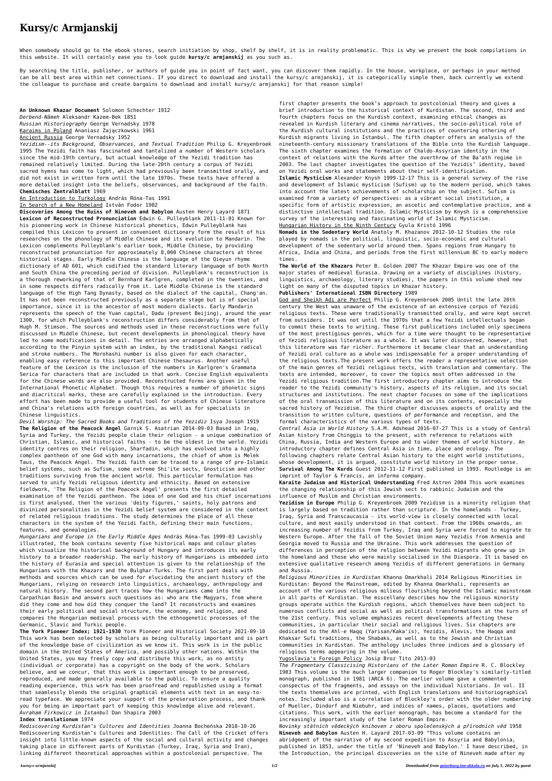## **Kursy/c Armjanskij**

When somebody should go to the ebook stores, search initiation by shop, shelf by shelf, it is in reality problematic. This is why we present the book compilations in this website. It will certainly ease you to look guide **kursy/c armjanskij** as you such as.

By searching the title, publisher, or authors of guide you in point of fact want, you can discover them rapidly. In the house, workplace, or perhaps in your method can be all best area within net connections. If you direct to download and install the kursy/c armjanskij, it is categorically simple then, back currently we extend the colleague to purchase and create bargains to download and install kursy/c armjanskij for that reason simple!

**An Unknown Khazar Document** Solomon Schechter 1912 *Derbend-Nâmeh* Aleksandr Kazem-Bek 1851 *Russian Historiography* George Vernadsky 1978 Karaims in Poland Ananiasz Zajączkowski 1961 Ancient Russia George Vernadsky 1952

*Yezidism--its Background, Observances, and Textual Tradition* Philip G. Kreyenbroek 1995 The Yezidi faith has fascinated and tantalized a number of Western scholars since the mid-19th century, but actual knowledge of the Yezidi tradition has remained relatively limited. During the late-20th century a corpus of Yezidi sacred hymns has come to light, which had previously been transmitted orally, and did not exist in written form until the late 1970s. These texts have offered a more detailed insight into the beliefs, observances, and background of the faith. **Chemisches Zentralblatt** 1969

An Introduction to Turkology András Róna-Tas 1991

In Search of a New Homeland István Fodor 1982

**Discoveries Among the Ruins of Nineveh and Babylon** Austen Henry Layard 1871 **Lexicon of Reconstructed Pronunciation** Edwin G. Pulleyblank 2011-11-01 Known for his pioneering work in Chinese historical phonetics, Edwin Pulleyblank has compiled this Lexicon to present in convenient dictionary form the result of his researches on the phonology of Middle Chinese and its evolution to Mandarin. The Lexicon complements Pulleyblank's earlier book, Middle Chinese, by providing reconstructed pronunciation for approximately 8,000 Chinese characters at three historical stages. Early Middle Chinese is the language of the Qieyun rhyme dictionary of AD 601, which codified the standard literary language of both North and South China the preceding period of division. Pulleyblank's reconstruction is a thorough reworking of that of Bernhard Karlgren, completed in the twenties, and in some respects differs radically from it. Late Middle Chinese is the standard language of the High Tang Dynasty, based on the dialect of the capital, Chang'an. It has not been reconstructed previously as a separate stage but is of special importance, since it is the ancestor of most modern dialects. Early Mandarin represents the speech of the Yuan capital, Dadu (present Beijing), around the year 1300, for which Pulleyblank's reconstruction differs considerably from that of Hugh M. Stimson. The sources and methods used in these reconstructions were fully discussed in Middle Chinese, but recent developments in phonological theory have led to some modifications in detail. The entries are arranged alphabetically according to the Pinyin system with an index, by the traditional Kangxi radical and stroke numbers. The Morohashi number is also given for each character, enabling easy reference to this important Chinese thesaurus. Another useful feature of the Lexicon is the inclusion of the numbers in Karlgren's Grammata Serica for characters that are included in that work. Concise English equivalents for the Chinese words are also provided. Reconstructed forms are given in the International Phonetic Alphabet. Though this requires a number of phonetic signs and diacritical marks, these are carefully explained in the introduction. Every effort has been made to provide a useful tool for students of Chinese literature and China's relations with foreign countries, as well as for specialists in Chinese linguistics. *Devil Worship: The Sacred Books and Traditions of the Yezidiz* Isya Joseph 1919 **The Religion of the Peacock Angel** Garnik S. Asatrian 2014-09-03 Based in Iraq, Syria and Turkey, the Yezidi people claim their religion - a unique combination of Christian, Islamic, and historical faiths - to be the oldest in the world. Yezidi identity centres on their religion, Sharfadin, which has evolved into a highly complex pantheon of one God with many incarnations, the chief of whom is Melek Taus, the Peacock Angel. The Yezidi faith can be traced to a range of pre-Islamic belief systems, such as Sufism, some extreme Shi'ite sects, Gnosticism and other traditions surviving from the ancient world. This particular formulation has served to unify Yezidi religious identity and ethnicity. Based on extensive fieldwork, 'The Religion of the Peacock Angel' presents the first detailed examination of the Yezidi pantheon. The idea of one God and his chief incarnations is first analysed, then the various 'deity figures,' saints, holy patrons and divinized personalities in the Yezidi belief system are considered in the context of related religious traditions. The study determines the place of all these characters in the system of the Yezidi faith, defining their main functions, features, and genealogies. *Hungarians and Europe in the Early Middle Ages* András Róna-Tas 1999-03 Lavishly illustrated, the book contains seventy five historical maps and colour plates which visualize the historical background of Hungary and introduces its early history to a broader readership. The early history of Hungarians is embedded into the history of Eurasia and special attention is given to the relationship of the Hungarians with the Khazars and the Bulghar-Turks. The first part deals with methods and sources which can be used for elucidating the ancient history of the Hungarians, relying on research into linguistics, archaeology, anthropology and natural history. The second part traces how the Hungarians came into the Carpathian Basin and answers such questions as: who are the Magyars, from where did they come and how did they conquer the land? It reconstructs and examines their early political and social structure, the economy, and religion, and compares the Hungarian medieval process with the ethnogenetic processes of the Germanic, Slavic and Turkic people. **The York Pioneer Index; 1921-1930** York Pioneer and Historical Society 2021-09-10 This work has been selected by scholars as being culturally important and is part of the knowledge base of civilization as we know it. This work is in the public domain in the United States of America, and possibly other nations. Within the United States, you may freely copy and distribute this work, as no entity (individual or corporate) has a copyright on the body of the work. Scholars believe, and we concur, that this work is important enough to be preserved, reproduced, and made generally available to the public. To ensure a quality reading experience, this work has been proofread and republished using a format that seamlessly blends the original graphical elements with text in an easy-toread typeface. We appreciate your support of the preservation process, and thank you for being an important part of keeping this knowledge alive and relevant. *Avraham Firkowicz in Istanbul* Dan Shapira 2003

## **Index translationum** 1974

*Rediscovering Kurdistan's Cultures and Identities* Joanna Bocheńska 2018-10-26 Rediscovering Kurdistan's Cultures and Identities: The Call of the Cricket offers insight into little-known aspects of the social and cultural activity and changes taking place in different parts of Kurdistan (Turkey, Iraq, Syria and Iran), linking different theoretical approaches within a postcolonial perspective. The

first chapter presents the book's approach to postcolonial theory and gives a brief introduction to the historical context of Kurdistan. The second, third and fourth chapters focus on the Kurdish context, examining ethical changes as revealed in Kurdish literary and cinema narratives, the socio-political role of the Kurdish cultural institutions and the practices of countering othering of Kurdish migrants living in Istanbul. The fifth chapter offers an analysis of the nineteenth-century missionary translations of the Bible into the Kurdish language. The sixth chapter examines the formation of Chaldo-Assyrian identity in the context of relations with the Kurds after the overthrow of the Ba'ath regime in 2003. The last chapter investigates the question of the Yezidis' identity, based on Yezidi oral works and statements about their self-identification.

**Islamic Mysticism** Alexander Knysh 1999-12-17 This is a general survey of the rise and development of Islamic mysticism (Sufism) up to the modern period, which takes into account the latest achievements of scholarship on the subject. Sufism is examined from a variety of perspectives: as a vibrant social institution, a specific form of artistic expression, an ascetic and contemplative practice, and a distinctive intellectual tradition. Islamic Mysticism by Knysh is a comprehensive survey of the interesting and fascinating world of Islamic Mysticism. Hungarian History in the Ninth Century Gyula Kristó 1996

**Nomads in the Sedentary World** Anatoly M. Khazanov 2012-10-12 Studies the role played by nomads in the political, linguistic, socio-economic and cultural development of the sedentary world around them. Spans regions from Hungary to Africa, India and China, and periods from the first millennium BC to early modern times.

**The World of the Khazars** Peter B. Golden 2007 The Khazar Empire was one of the major states of medieval Eurasia. Drawing on a variety of disciplines (history, linguistics, archaeology, literary studies), the papers in this volume shed new light on many of the disputed topics in Khazar history.

## **Publishers' International ISBN Directory** 1989

God and Sheikh Adi are Perfect Philip G. Kreyenbroek 2005 Until the late 20th century the West was unaware of the existence of an extensive corpus of Yezidi religious texts. These were traditionally transmitted orally, and were kept secret from outsiders. It was not until the 1970s that a few Yezidi intellectuals began to commit these texts to writing. These first publications included only specimens of the most prestigious genres, which for a time were thought to be representative of Yezidi religious literature as a whole. It was later discovered, however, that this literature was far richer. Furthermore it became clear that an understanding of Yezidi oral culture as a whole was indispensable for a proper understanding of the religious texts.The present work offers the reader a representative selection of the main genres of Yezidi religious texts, with translation and commentary. The texts are intended, moreover, to cover the topics most often addressed in the Yezidi religious tradition.The first introductory chapter aims to introduce the reader to the Yezidi community's history, aspects of its religion, and its social structures and institutions. The next chapter focuses on some of the implications of the oral transmission of this literature and on its contents, especially the sacred history of Yezidism. The third chapter discusses aspects of orality and the transition to written culture, questions of performance and reception, and the formal characteristics of the various types of texts. *Central Asia in World History* S.A.M. Adshead 2016-07-27 This is a study of Central Asian history from Chinggis to the present, with reference to relations with China, Russia, India and Western Europe and to wider themes of world history. An introductory chapter defines Central Asia in time, place and ecology. The following chapters relate Central Asian history to the eight world institutions, whose development, it is argued, constitute world history in the proper sense. **Survival Among The Kurds** Guest 2012-11-12 First published in 1993. Routledge is an imprint of Taylor & Francis, an informa company.

**Karaite Judaism and Historical Understanding** Fred Astren 2004 This work examines the changing relationship of this Jewish sect to rabbinic Judaism and the influence of Muslim and Christian environments.

**Yezidism in Europe** Philip G. Kreyenbroek 2009 Yezidism is a minority religion that is largely based on tradition rather than scripture. In the homelands - Turkey, Iraq, Syria and Transcaucasia - its world-view is closely connected with local culture, and most easily understood in that context. From the 1960s onwards, an increasing number of Yezidis from Turkey, Iraq and Syria were forced to migrate to Western Europe. After the fall of the Soviet Union many Yezidis from Armenia and Georgia moved to Russia and the Ukraine. This work addresses the question of differences in perception of the religion between Yezidi migrants who grew up in the homeland and those who were mainly socialised in the Diaspora. It is based on extensive qualitative research among Yezidis of different generations in Germany and Russia.

*Religious Minorities in Kurdistan* Khanna Omarkhali 2014 Religious Minorities in Kurdistan: Beyond the Mainstream, edited by Khanna Omarkhali, represents an account of the various religious milieus flourishing beyond the Islamic mainstream in all parts of Kurdistan. The miscellany describes how the religious minority groups operate within the Kurdish regions, which themselves have been subject to numerous conflicts and social as well as political transformations at the turn of the 21st century. This volume emphasizes recent developments affecting these communities, in particular their social and religious lives. Six chapters are dedicated to the Ahl-e Haqq (Yarisan/Kaka'is), Yezidis, Alevis, the Haqqa and Khaksar Sufi traditions, the Shabaks, as well as to the Jewish and Christian communities in Kurdistan. The anthology includes three indices and a glossary of religious terms appearing in the volume.

Yugoslavia's Foreign Policy Josip Broz Tito 2013-03

*The Fragmentary Classicising Historians of the Later Roman Empire* R. C. Blockley 1983 This volume is the much larger companion to Roger Blockley's similarly-titled monograph, published in 1981 (ARCA 6). The earlier volume gave a commented conspectus of the fragments, and essays on the individual historians. In vol. II the texts themselves are printed, with English translations and historiographical notes. Included also is a correlation of Blockley's order with the older numbering of Mueller, Dindorf and Niebuhr, and indices of names, places, quotations and citations. This work, with the earlier monograph, has become a standard for the increasingly important study of the later Roman Empire.

*Novinky státních vědeckých knihoven z oboru společenských a přírodních věd* 1958 **Nineveh and Babylon** Austen H. Layard 2017-03-09 "This volume contains an abridgment of the narrative of my second expedition to Assyria and Babylonia, published in 1853, under the title of 'Nineveh and Babylon.' I have described, in the Introduction, the principal discoveries on the site of Nineveh made after my